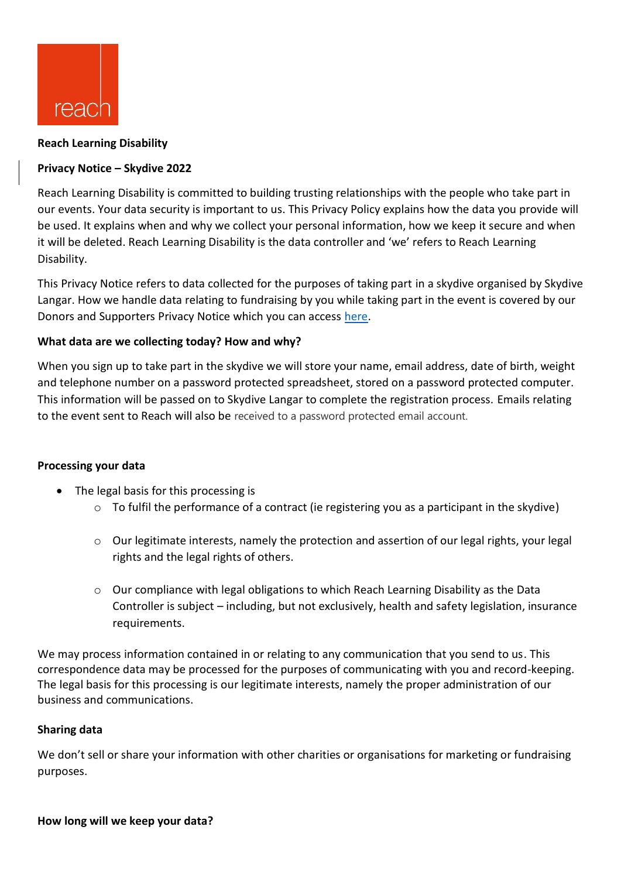

### **Reach Learning Disability**

# **Privacy Notice – Skydive 2022**

Reach Learning Disability is committed to building trusting relationships with the people who take part in our events. Your data security is important to us. This Privacy Policy explains how the data you provide will be used. It explains when and why we collect your personal information, how we keep it secure and when it will be deleted. Reach Learning Disability is the data controller and 'we' refers to Reach Learning Disability.

This Privacy Notice refers to data collected for the purposes of taking part in a skydive organised by Skydive Langar. How we handle data relating to fundraising by you while taking part in the event is covered by our Donors and Supporters Privacy Notice which you can access [here.](https://reachuk.org/wp-content/uploads/2020/11/Data-Privacy-Notice-%E2%80%93-donors-supporters-full.-V1.1.pdf)

# **What data are we collecting today? How and why?**

When you sign up to take part in the skydive we will store your name, email address, date of birth, weight and telephone number on a password protected spreadsheet, stored on a password protected computer. This information will be passed on to Skydive Langar to complete the registration process. Emails relating to the event sent to Reach will also be received to a password protected email account.

# **Processing your data**

- The legal basis for this processing is
	- o To fulfil the performance of a contract (ie registering you as a participant in the skydive)
	- o Our legitimate interests, namely the protection and assertion of our legal rights, your legal rights and the legal rights of others.
	- $\circ$  Our compliance with legal obligations to which Reach Learning Disability as the Data Controller is subject – including, but not exclusively, health and safety legislation, insurance requirements.

We may process information contained in or relating to any communication that you send to us. This correspondence data may be processed for the purposes of communicating with you and record-keeping. The legal basis for this processing is our legitimate interests, namely the proper administration of our business and communications.

# **Sharing data**

We don't sell or share your information with other charities or organisations for marketing or fundraising purposes.